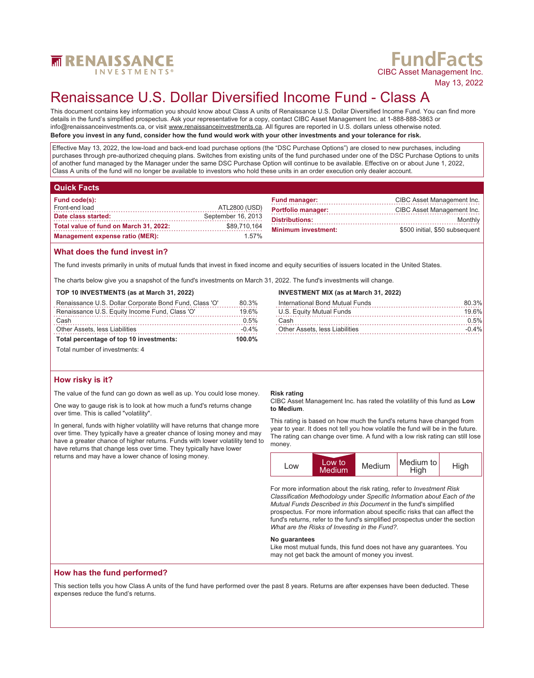

# **FundFacts**<br>CIBC Asset Management Inc.

May 13, 2022

## Renaissance U.S. Dollar Diversified Income Fund - Class A

This document contains key information you should know about Class A units of Renaissance U.S. Dollar Diversified Income Fund. You can find more details in the fund's simplified prospectus. Ask your representative for a copy, contact CIBC Asset Management Inc. at 1-888-888-3863 or info@renaissanceinvestments.ca, or visit www.renaissanceinvestments.ca. All figures are reported in U.S. dollars unless otherwise noted.

**Before you invest in any fund, consider how the fund would work with your other investments and your tolerance for risk.**

Effective May 13, 2022, the low-load and back-end load purchase options (the "DSC Purchase Options") are closed to new purchases, including purchases through pre-authorized chequing plans. Switches from existing units of the fund purchased under one of the DSC Purchase Options to units of another fund managed by the Manager under the same DSC Purchase Option will continue to be available. Effective on or about June 1, 2022, Class A units of the fund will no longer be available to investors who hold these units in an order execution only dealer account.

| <b>Quick Facts</b> |  |  |
|--------------------|--|--|
|                    |  |  |
|                    |  |  |
|                    |  |  |

| Fund code(s):                          |                    | <b>Fund manager:</b>       | CIBC Asset Management Inc.     |
|----------------------------------------|--------------------|----------------------------|--------------------------------|
| Front-end load                         | ATL2800 (USD)      | <b>Portfolio manager:</b>  | CIBC Asset Management Inc.     |
| Date class started:                    | September 16, 2013 | <b>Distributions:</b>      | Monthly                        |
| Total value of fund on March 31, 2022: | \$89,710,164       | <b>Minimum investment:</b> | \$500 initial. \$50 subsequent |
| <b>Management expense ratio (MER):</b> | 1.57%              |                            |                                |

### **What does the fund invest in?**

The fund invests primarily in units of mutual funds that invest in fixed income and equity securities of issuers located in the United States.

The charts below give you a snapshot of the fund's investments on March 31, 2022. The fund's investments will change.

### **TOP 10 INVESTMENTS (as at March 31, 2022)**

| Total percentage of top 10 investments:                | $100.0\%$ |
|--------------------------------------------------------|-----------|
| <b>Other Assets, less Liabilities</b>                  | $-0.4\%$  |
| Cash                                                   | 0.5%      |
| Renaissance U.S. Equity Income Fund, Class 'O'         | 19.6%     |
| Renaissance U.S. Dollar Corporate Bond Fund, Class 'O' | 80.3%     |

### Total number of investments: 4

### **How risky is it?**

The value of the fund can go down as well as up. You could lose money.

One way to gauge risk is to look at how much a fund's returns change over time. This is called "volatility".

In general, funds with higher volatility will have returns that change more over time. They typically have a greater chance of losing money and may have a greater chance of higher returns. Funds with lower volatility tend to have returns that change less over time. They typically have lower returns and may have a lower chance of losing money.

### **Risk rating**

CIBC Asset Management Inc. has rated the volatility of this fund as **Low to Medium**.

International Bond Mutual Funds 80.3% U.S. Equity Mutual Funds 19.6% Cash 0.5% Other Assets, less Liabilities -0.4%

**INVESTMENT MIX (as at March 31, 2022)**

This rating is based on how much the fund's returns have changed from year to year. It does not tell you how volatile the fund will be in the future. The rating can change over time. A fund with a low risk rating can still lose money.



For more information about the risk rating, refer to *Investment Risk Classification Methodology* under *Specific Information about Each of the Mutual Funds Described in this Document* in the fund's simplified prospectus. For more information about specific risks that can affect the fund's returns, refer to the fund's simplified prospectus under the section *What are the Risks of Investing in the Fund?*.

### **No guarantees**

Like most mutual funds, this fund does not have any guarantees. You may not get back the amount of money you invest.

### **How has the fund performed?**

This section tells you how Class A units of the fund have performed over the past 8 years. Returns are after expenses have been deducted. These expenses reduce the fund's returns.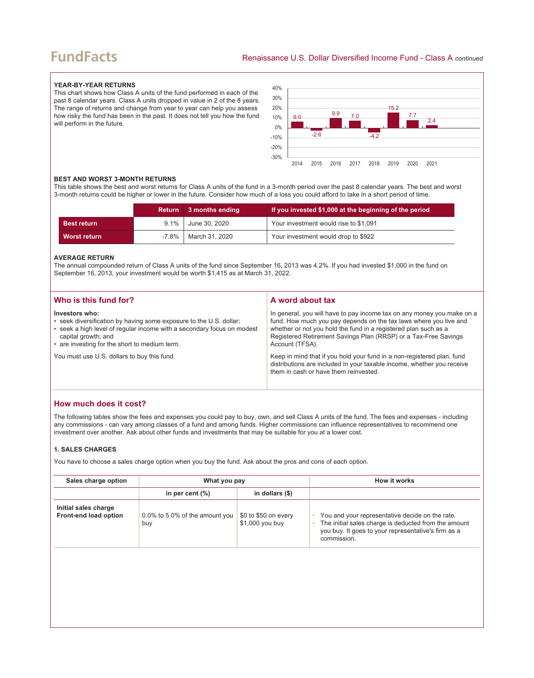### **FundFacts**

### **YEAR-BY-YEAR RETURNS**

This chart shows how Class A units of the fund performed in each of the past 8 calendar years. Class A units dropped in value in 2 of the 8 years. The range of returns and change from year to year can help you assess how risky the fund has been in the past. It does not tell you how the fund will perform in the future.



### **BEST AND WORST 3-MONTH RETURNS**

This table shows the best and worst returns for Class A units of the fund in a 3-month period over the past 8 calendar years. The best and worst 3-month returns could be higher or lower in the future. Consider how much of a loss you could afford to take in a short period of time.

|                    | Return     | $\blacksquare$ 3 months ending | If you invested \$1,000 at the beginning of the period |
|--------------------|------------|--------------------------------|--------------------------------------------------------|
| <b>Best return</b> | $9.1\%$    | June 30. 2020                  | Your investment would rise to \$1,091                  |
| Worst return       | $-7.8\%$ 1 | March 31, 2020                 | Your investment would drop to \$922                    |

### **AVERAGE RETURN**

The annual compounded return of Class A units of the fund since September 16, 2013 was 4.2%. If you had invested \$1,000 in the fund on September 16, 2013, your investment would be worth \$1,415 as at March 31, 2022.

| Who is this fund for?                                                                                                                                                                                                                  | A word about tax                                                                                                                                                                                                                                                                                     |
|----------------------------------------------------------------------------------------------------------------------------------------------------------------------------------------------------------------------------------------|------------------------------------------------------------------------------------------------------------------------------------------------------------------------------------------------------------------------------------------------------------------------------------------------------|
| Investors who:<br>• seek diversification by having some exposure to the U.S. dollar;<br>• seek a high level of regular income with a secondary focus on modest<br>capital growth; and<br>• are investing for the short to medium term. | In general, you will have to pay income tax on any money you make on a<br>fund. How much you pay depends on the tax laws where you live and<br>whether or not you hold the fund in a registered plan such as a<br>Registered Retirement Savings Plan (RRSP) or a Tax-Free Savings<br>Account (TFSA). |
| You must use U.S. dollars to buy this fund.                                                                                                                                                                                            | Keep in mind that if you hold your fund in a non-registered plan, fund<br>distributions are included in your taxable income, whether you receive<br>them in cash or have them reinvested.                                                                                                            |

### **How much does it cost?**

The following tables show the fees and expenses you could pay to buy, own, and sell Class A units of the fund. The fees and expenses - including any commissions - can vary among classes of a fund and among funds. Higher commissions can influence representatives to recommend one investment over another. Ask about other funds and investments that may be suitable for you at a lower cost.

### **1. SALES CHARGES**

You have to choose a sales charge option when you buy the fund. Ask about the pros and cons of each option.

| Sales charge option                           | What you pay                          |                                         | How it works                                                                                                                                                                  |
|-----------------------------------------------|---------------------------------------|-----------------------------------------|-------------------------------------------------------------------------------------------------------------------------------------------------------------------------------|
|                                               | in per cent $(\%)$                    | in dollars $(\$)$                       |                                                                                                                                                                               |
| Initial sales charge<br>Front-end load option | 0.0% to 5.0% of the amount you<br>buy | \$0 to \$50 on every<br>\$1,000 you buy | You and your representative decide on the rate.<br>The initial sales charge is deducted from the amount<br>you buy. It goes to your representative's firm as a<br>commission. |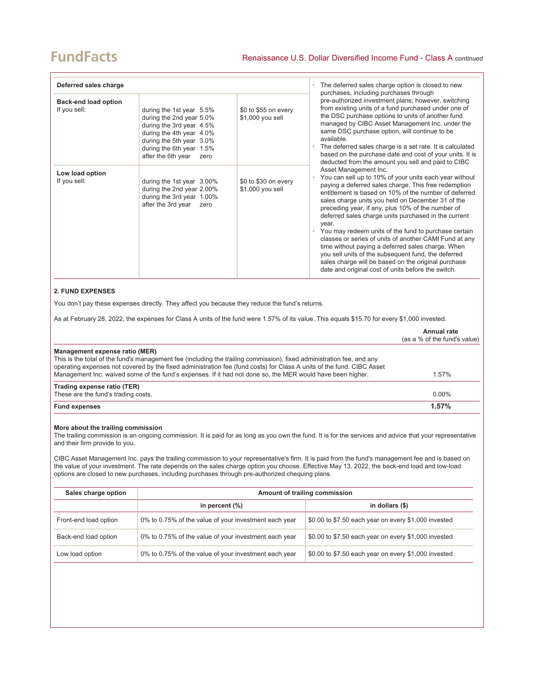| Deferred sales charge                       |                                                                                                                                                                                                    |                                          | The deferred sales charge option is closed to new<br>purchases, including purchases through                                                                                                                                                                                                                                                                                                                                                                                                                                                                                                                                                                                                                            |
|---------------------------------------------|----------------------------------------------------------------------------------------------------------------------------------------------------------------------------------------------------|------------------------------------------|------------------------------------------------------------------------------------------------------------------------------------------------------------------------------------------------------------------------------------------------------------------------------------------------------------------------------------------------------------------------------------------------------------------------------------------------------------------------------------------------------------------------------------------------------------------------------------------------------------------------------------------------------------------------------------------------------------------------|
| <b>Back-end load option</b><br>If you sell: | during the 1st year 5.5%<br>during the 2nd year 5.0%<br>during the 3rd year 4.5%<br>during the 4th year 4.0%<br>during the 5th year 3.0%<br>during the 6th year 1.5%<br>after the 6th year<br>zero | \$0 to \$55 on every<br>\$1,000 you sell | pre-authorized investment plans; however, switching<br>from existing units of a fund purchased under one of<br>the DSC purchase options to units of another fund<br>managed by CIBC Asset Management Inc. under the<br>same DSC purchase option, will continue to be<br>available.<br>• The deferred sales charge is a set rate. It is calculated<br>based on the purchase date and cost of your units. It is<br>deducted from the amount you sell and paid to CIBC                                                                                                                                                                                                                                                    |
| Low load option<br>If you sell:             | during the 1st year 3.00%<br>during the 2nd year 2.00%<br>during the 3rd year 1.00%<br>after the 3rd year<br>zero                                                                                  | \$0 to \$30 on every<br>\$1,000 you sell | Asset Management Inc.<br>You can sell up to 10% of your units each year without<br>paying a deferred sales charge. This free redemption<br>entitlement is based on 10% of the number of deferred<br>sales charge units you held on December 31 of the<br>preceding year, if any, plus 10% of the number of<br>deferred sales charge units purchased in the current<br>year.<br>You may redeem units of the fund to purchase certain<br>classes or series of units of another CAMI Fund at any<br>time without paying a deferred sales charge. When<br>you sell units of the subsequent fund, the deferred<br>sales charge will be based on the original purchase<br>date and original cost of units before the switch. |

### **2. FUND EXPENSES**

You don't pay these expenses directly. They affect you because they reduce the fund's returns.

As at February 28, 2022, the expenses for Class A units of the fund were 1.57% of its value. This equals \$15.70 for every \$1,000 invested.

|                                                                                                                                                                                                                                                                                                                                                                                                | Annual rate<br>(as a % of the fund's value) |
|------------------------------------------------------------------------------------------------------------------------------------------------------------------------------------------------------------------------------------------------------------------------------------------------------------------------------------------------------------------------------------------------|---------------------------------------------|
| Management expense ratio (MER)<br>This is the total of the fund's management fee (including the trailing commission), fixed administration fee, and any<br>operating expenses not covered by the fixed administration fee (fund costs) for Class A units of the fund. CIBC Asset<br>Management Inc. waived some of the fund's expenses. If it had not done so, the MER would have been higher. | 1.57%                                       |
| Trading expense ratio (TER)<br>These are the fund's trading costs.                                                                                                                                                                                                                                                                                                                             | $0.00\%$                                    |
| <b>Fund expenses</b>                                                                                                                                                                                                                                                                                                                                                                           | 1.57%                                       |

### **More about the trailing commission**

The trailing commission is an ongoing commission. It is paid for as long as you own the fund. It is for the services and advice that your representative and their firm provide to you.

CIBC Asset Management Inc. pays the trailing commission to your representative's firm. It is paid from the fund's management fee and is based on the value of your investment. The rate depends on the sales charge option you choose. Effective May 13, 2022, the back-end load and low-load options are closed to new purchases, including purchases through pre-authorized chequing plans.

| Sales charge option   | Amount of trailing commission                         |                                                      |
|-----------------------|-------------------------------------------------------|------------------------------------------------------|
|                       | in percent $(\%)$                                     | in dollars $(\$)$                                    |
| Front-end load option | 0% to 0.75% of the value of your investment each year | \$0.00 to \$7.50 each year on every \$1,000 invested |
| Back-end load option  | 0% to 0.75% of the value of your investment each year | \$0.00 to \$7.50 each year on every \$1,000 invested |
| Low load option       | 0% to 0.75% of the value of your investment each year | \$0.00 to \$7.50 each year on every \$1,000 invested |